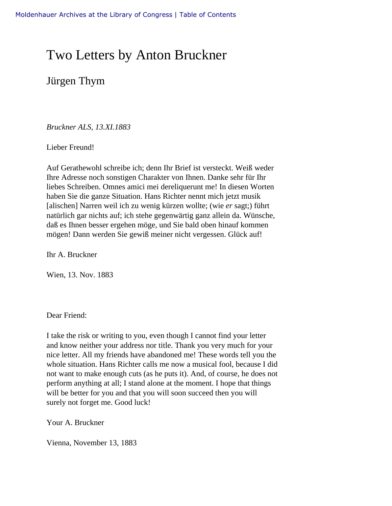## Two Letters by Anton Bruckner

Jürgen Thym

*Bruckner ALS, 13.XI.1883* 

Lieber Freund!

Auf Gerathewohl schreibe ich; denn Ihr Brief ist versteckt. Weiß weder Ihre Adresse noch sonstigen Charakter von Ihnen. Danke sehr für Ihr liebes Schreiben. Omnes amici mei dereliquerunt me! In diesen Worten haben Sie die ganze Situation. Hans Richter nennt mich jetzt musik [alischen] Narren weil ich zu wenig kürzen wollte; (wie *er* sagt;) führt natürlich gar nichts auf; ich stehe gegenwärtig ganz allein da. Wünsche, daß es Ihnen besser ergehen möge, und Sie bald oben hinauf kommen mögen! Dann werden Sie gewiß meiner nicht vergessen. Glück auf!

Ihr A. Bruckner

Wien, 13. Nov. 1883

Dear Friend:

I take the risk or writing to you, even though I cannot find your letter and know neither your address nor title. Thank you very much for your nice letter. All my friends have abandoned me! These words tell you the whole situation. Hans Richter calls me now a musical fool, because I did not want to make enough cuts (as he puts it). And, of course, he does not perform anything at all; I stand alone at the moment. I hope that things will be better for you and that you will soon succeed then you will surely not forget me. Good luck!

Your A. Bruckner

Vienna, November 13, 1883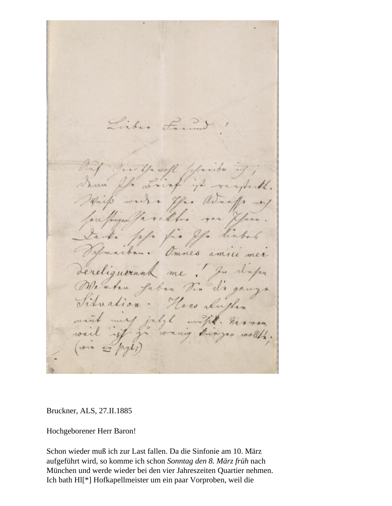Libra Lament I Trickle woll placeton a Lainf if wayback. mi  $\mathcal{U}$ . you awants Harp work ou hugealfa ralfor yar & ike ple für for hinba maibru. Omnes amici mei dereliguerunk me ! Ju d'apre raha gaban din di ganza Ination. Here clushen wifik. harmon my july concing kingan would.

Bruckner, ALS, 27.II.1885

Hochgeborener Herr Baron!

Schon wieder muß ich zur Last fallen. Da die Sinfonie am 10. März aufgeführt wird, so komme ich schon *Sonntag den 8. März früh* nach München und werde wieder bei den vier Jahreszeiten Quartier nehmen. Ich bath Hl[\*] Hofkapellmeister um ein paar Vorproben, weil die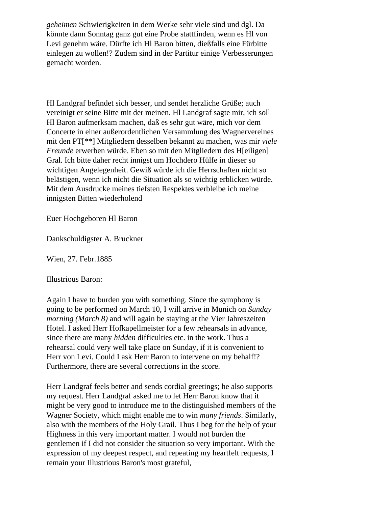*geheimen* Schwierigkeiten in dem Werke sehr viele sind und dgl. Da könnte dann Sonntag ganz gut eine Probe stattfinden, wenn es Hl von Levi genehm wäre. Dürfte ich Hl Baron bitten, dießfalls eine Fürbitte einlegen zu wollen!? Zudem sind in der Partitur einige Verbesserungen gemacht worden.

Hl Landgraf befindet sich besser, und sendet herzliche Grüße; auch vereinigt er seine Bitte mit der meinen. Hl Landgraf sagte mir, ich soll Hl Baron aufmerksam machen, daß es sehr gut wäre, mich vor dem Concerte in einer außerordentlichen Versammlung des Wagnervereines mit den PT[\*\*] Mitgliedern desselben bekannt zu machen, was mir *viele Freunde* erwerben würde. Eben so mit den Mitgliedern des H[eiligen] Gral. Ich bitte daher recht innigst um Hochdero Hülfe in dieser so wichtigen Angelegenheit. Gewiß würde ich die Herrschaften nicht so belästigen, wenn ich nicht die Situation als so wichtig erblicken würde. Mit dem Ausdrucke meines tiefsten Respektes verbleibe ich meine innigsten Bitten wiederholend

Euer Hochgeboren Hl Baron

Dankschuldigster A. Bruckner

Wien, 27. Febr.1885

Illustrious Baron:

Again I have to burden you with something. Since the symphony is going to be performed on March 10, I will arrive in Munich on *Sunday morning (March 8)* and will again be staying at the Vier Jahreszeiten Hotel. I asked Herr Hofkapellmeister for a few rehearsals in advance, since there are many *hidden* difficulties etc. in the work. Thus a rehearsal could very well take place on Sunday, if it is convenient to Herr von Levi. Could I ask Herr Baron to intervene on my behalf!? Furthermore, there are several corrections in the score.

Herr Landgraf feels better and sends cordial greetings; he also supports my request. Herr Landgraf asked me to let Herr Baron know that it might be very good to introduce me to the distinguished members of the Wagner Society, which might enable me to win *many friends*. Similarly, also with the members of the Holy Grail. Thus I beg for the help of your Highness in this very important matter. I would not burden the gentlemen if I did not consider the situation so very important. With the expression of my deepest respect, and repeating my heartfelt requests, I remain your Illustrious Baron's most grateful,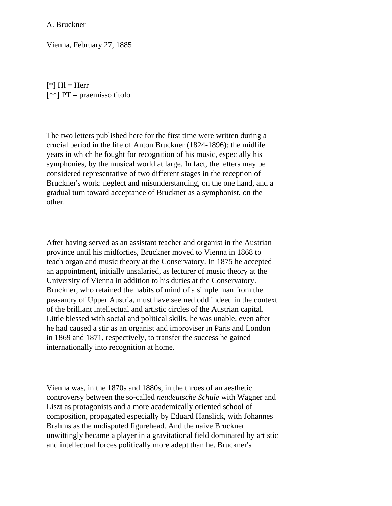A. Bruckner

Vienna, February 27, 1885

 $[$ <sup>\*</sup> $]$  Hl = Herr  $[**] PT = praemisso titolo$ 

The two letters published here for the first time were written during a crucial period in the life of Anton Bruckner (1824-1896): the midlife years in which he fought for recognition of his music, especially his symphonies, by the musical world at large. In fact, the letters may be considered representative of two different stages in the reception of Bruckner's work: neglect and misunderstanding, on the one hand, and a gradual turn toward acceptance of Bruckner as a symphonist, on the other.

After having served as an assistant teacher and organist in the Austrian province until his midforties, Bruckner moved to Vienna in 1868 to teach organ and music theory at the Conservatory. In 1875 he accepted an appointment, initially unsalaried, as lecturer of music theory at the University of Vienna in addition to his duties at the Conservatory. Bruckner, who retained the habits of mind of a simple man from the peasantry of Upper Austria, must have seemed odd indeed in the context of the brilliant intellectual and artistic circles of the Austrian capital. Little blessed with social and political skills, he was unable, even after he had caused a stir as an organist and improviser in Paris and London in 1869 and 1871, respectively, to transfer the success he gained internationally into recognition at home.

Vienna was, in the 1870s and 1880s, in the throes of an aesthetic controversy between the so-called *neudeutsche Schule* with Wagner and Liszt as protagonists and a more academically oriented school of composition, propagated especially by Eduard Hanslick, with Johannes Brahms as the undisputed figurehead. And the naive Bruckner unwittingly became a player in a gravitational field dominated by artistic and intellectual forces politically more adept than he. Bruckner's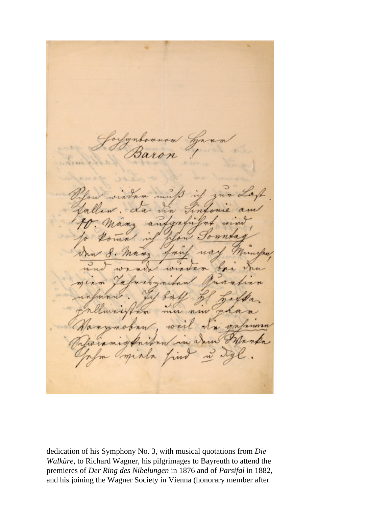$m_{\lambda}$ -apt nm

dedication of his Symphony No. 3, with musical quotations from *Die Walküre*, to Richard Wagner, his pilgrimages to Bayreuth to attend the premieres of *Der Ring des Nibelungen* in 1876 and of *Parsifal* in 1882, and his joining the Wagner Society in Vienna (honorary member after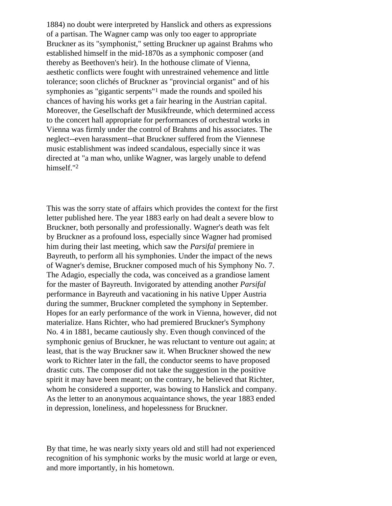1884) no doubt were interpreted by Hanslick and others as expressions of a partisan. The Wagner camp was only too eager to appropriate Bruckner as its "symphonist," setting Bruckner up against Brahms who established himself in the mid-1870s as a symphonic composer (and thereby as Beethoven's heir). In the hothouse climate of Vienna, aesthetic conflicts were fought with unrestrained vehemence and little tolerance; soon clichés of Bruckner as "provincial organist" and of his symphonies as "gigantic serpents"1 made the rounds and spoiled his chances of having his works get a fair hearing in the Austrian capital. Moreover, the Gesellschaft der Musikfreunde, which determined access to the concert hall appropriate for performances of orchestral works in Vienna was firmly under the control of Brahms and his associates. The neglect--even harassment--that Bruckner suffered from the Viennese music establishment was indeed scandalous, especially since it was directed at "a man who, unlike Wagner, was largely unable to defend himself."2

This was the sorry state of affairs which provides the context for the first letter published here. The year 1883 early on had dealt a severe blow to Bruckner, both personally and professionally. Wagner's death was felt by Bruckner as a profound loss, especially since Wagner had promised him during their last meeting, which saw the *Parsifal* premiere in Bayreuth, to perform all his symphonies. Under the impact of the news of Wagner's demise, Bruckner composed much of his Symphony No. 7. The Adagio, especially the coda, was conceived as a grandiose lament for the master of Bayreuth. Invigorated by attending another *Parsifal*  performance in Bayreuth and vacationing in his native Upper Austria during the summer, Bruckner completed the symphony in September. Hopes for an early performance of the work in Vienna, however, did not materialize. Hans Richter, who had premiered Bruckner's Symphony No. 4 in 1881, became cautiously shy. Even though convinced of the symphonic genius of Bruckner, he was reluctant to venture out again; at least, that is the way Bruckner saw it. When Bruckner showed the new work to Richter later in the fall, the conductor seems to have proposed drastic cuts. The composer did not take the suggestion in the positive spirit it may have been meant; on the contrary, he believed that Richter, whom he considered a supporter, was bowing to Hanslick and company. As the letter to an anonymous acquaintance shows, the year 1883 ended in depression, loneliness, and hopelessness for Bruckner.

By that time, he was nearly sixty years old and still had not experienced recognition of his symphonic works by the music world at large or even, and more importantly, in his hometown.